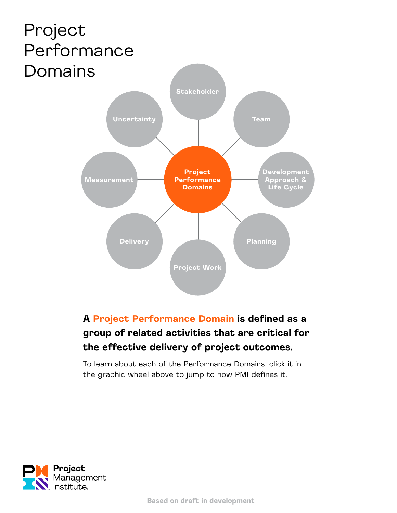<span id="page-0-0"></span>

#### **A Project Performance Domain is defined as a group of related activities that are critical for the effective delivery of project outcomes.**

To learn about each of the Performance Domains, click it in the graphic wheel above to jump to how PMI defines it.

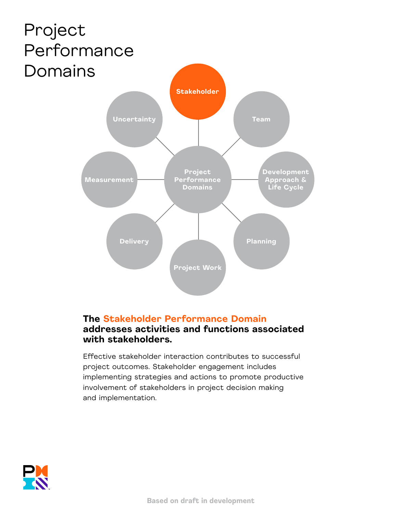<span id="page-1-0"></span>

#### **The Stakeholder Performance Domain addresses activities and functions associated with stakeholders.**

Effective stakeholder interaction contributes to successful project outcomes. Stakeholder engagement includes implementing strategies and actions to promote productive involvement of stakeholders in project decision making and implementation.

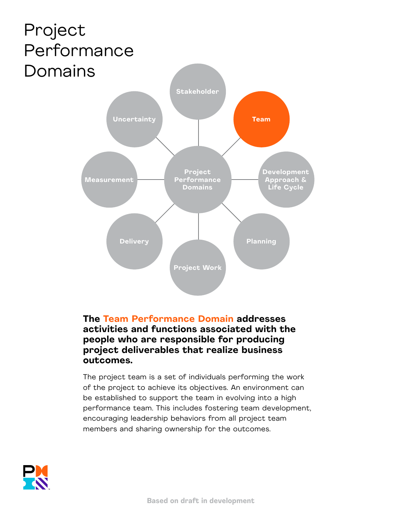<span id="page-2-0"></span>

#### **The Team Performance Domain addresses activities and functions associated with the people who are responsible for producing project deliverables that realize business outcomes.**

The project team is a set of individuals performing the work of the project to achieve its objectives. An environment can be established to support the team in evolving into a high performance team. This includes fostering team development, encouraging leadership behaviors from all project team members and sharing ownership for the outcomes.

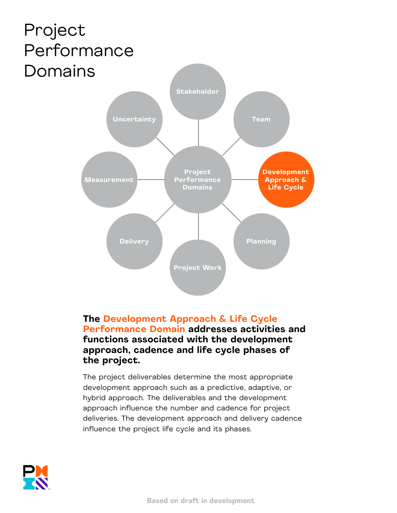<span id="page-3-0"></span>

#### **The Development Approach & Life Cycle Performance Domain addresses activities and functions associated with the development approach, cadence and life cycle phases of the project.**

The project deliverables determine the most appropriate development approach such as a predictive, adaptive, or hybrid approach. The deliverables and the development approach influence the number and cadence for project deliveries. The development approach and delivery cadence influence the project life cycle and its phases.

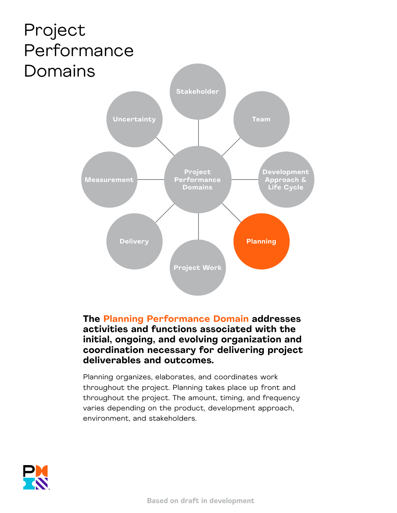<span id="page-4-0"></span>

**The Planning Performance Domain addresses activities and functions associated with the initial, ongoing, and evolving organization and coordination necessary for delivering project deliverables and outcomes.** 

Planning organizes, elaborates, and coordinates work throughout the project. Planning takes place up front and throughout the project. The amount, timing, and frequency varies depending on the product, development approach, environment, and stakeholders.

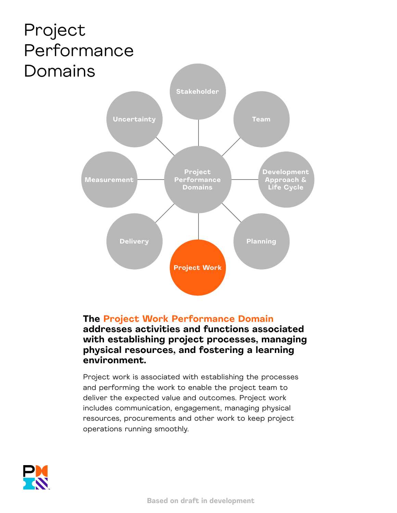<span id="page-5-0"></span>

#### **The Project Work Performance Domain addresses activities and functions associated with establishing project processes, managing physical resources, and fostering a learning**

**environment.** 

Project work is associated with establishing the processes and performing the work to enable the project team to deliver the expected value and outcomes. Project work includes communication, engagement, managing physical resources, procurements and other work to keep project operations running smoothly.

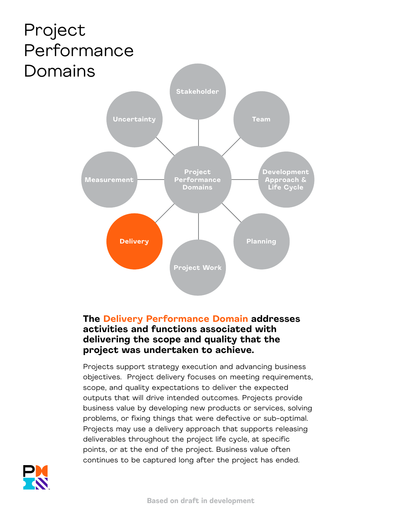<span id="page-6-0"></span>

#### **The Delivery Performance Domain addresses activities and functions associated with delivering the scope and quality that the project was undertaken to achieve.**

Projects support strategy execution and advancing business objectives. Project delivery focuses on meeting requirements, scope, and quality expectations to deliver the expected outputs that will drive intended outcomes. Projects provide business value by developing new products or services, solving problems, or fixing things that were defective or sub-optimal. Projects may use a delivery approach that supports releasing deliverables throughout the project life cycle, at specific points, or at the end of the project. Business value often continues to be captured long after the project has ended.

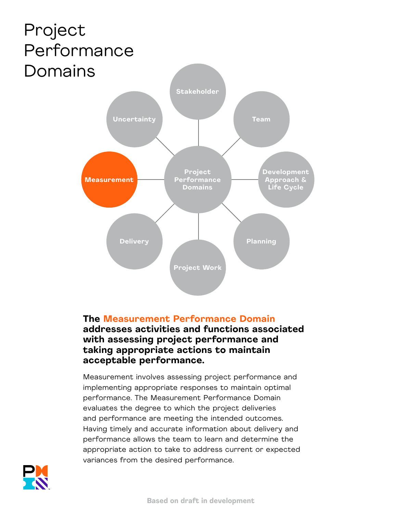<span id="page-7-0"></span>

#### **The Measurement Performance Domain addresses activities and functions associated with assessing project performance and taking appropriate actions to maintain acceptable performance.**

Measurement involves assessing project performance and implementing appropriate responses to maintain optimal performance. The Measurement Performance Domain evaluates the degree to which the project deliveries and performance are meeting the intended outcomes. Having timely and accurate information about delivery and performance allows the team to learn and determine the appropriate action to take to address current or expected variances from the desired performance.